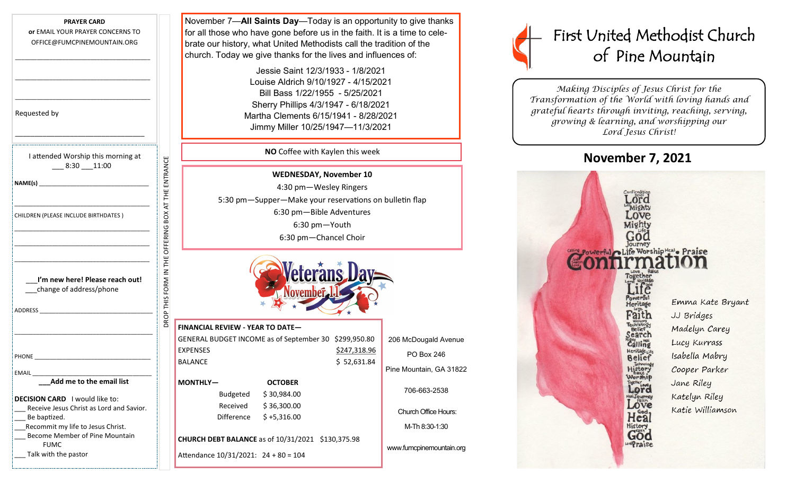| <b>PRAYER CARD</b>                                                                |                                                   |
|-----------------------------------------------------------------------------------|---------------------------------------------------|
| or EMAIL YOUR PRAYER CONCERNS TO                                                  |                                                   |
| OFFICE@FUMCPINEMOUNTAIN.ORG                                                       |                                                   |
|                                                                                   |                                                   |
|                                                                                   |                                                   |
|                                                                                   |                                                   |
| Requested by                                                                      |                                                   |
| I attended Worship this morning at                                                |                                                   |
| $-8:30$ 11:00                                                                     |                                                   |
|                                                                                   | ROP THIS FORM IN THE OFFERING BOX AT THE ENTRANCE |
|                                                                                   |                                                   |
|                                                                                   |                                                   |
| CHILDREN (PLEASE INCLUDE BIRTHDATES)                                              |                                                   |
|                                                                                   |                                                   |
|                                                                                   |                                                   |
|                                                                                   |                                                   |
|                                                                                   |                                                   |
| I'm new here! Please reach out!                                                   |                                                   |
| change of address/phone                                                           |                                                   |
|                                                                                   |                                                   |
|                                                                                   |                                                   |
|                                                                                   |                                                   |
|                                                                                   |                                                   |
| <b>PHONE</b>                                                                      |                                                   |
|                                                                                   |                                                   |
| EMAIL<br>Add me to the email list                                                 |                                                   |
|                                                                                   |                                                   |
| <b>DECISION CARD</b> I would like to:<br>Receive Jesus Christ as Lord and Savior. |                                                   |
| Be baptized.                                                                      |                                                   |
| Recommit my life to Jesus Christ.                                                 |                                                   |
| Become Member of Pine Mountain<br><b>FUMC</b>                                     |                                                   |
| Talk with the pastor                                                              |                                                   |
|                                                                                   |                                                   |

November 7—**All Saints Day**—Today is an opportunity to give thanks for all those who have gone before us in the faith. It is a time to celebrate our history, what United Methodists call the tradition of the church. Today we give thanks for the lives and influences of:

> Jessie Saint 12/3/1933 - 1/8/2021 Louise Aldrich 9/10/1927 - 4/15/2021 Bill Bass 1/22/1955 - 5/25/2021 Sherry Phillips 4/3/1947 - 6/18/2021 Martha Clements 6/15/1941 - 8/28/2021 Jimmy Miller 10/25/1947—11/3/2021

### **NO** Coffee with Kaylen this week

**WEDNESDAY, November 10** 4:30 pm—Wesley Ringers 5:30 pm—Supper—Make your reservations on bulletin flap 6:30 pm—Bible Adventures 6:30 pm—Youth 6:30 pm—Chancel Choir



#### **FINANCIAL REVIEW - YEAR TO DATE—**

GENERAL BUDGET INCOME as of September 30 \$299,950.80 EXPENSES \$247,318.96 BALANCE \$52,631.84

**MONTHLY— OCTOBER**  Budgeted \$ 30,984.00 Received \$ 36,300.00 Difference \$ +5,316.00

**CHURCH DEBT BALANCE** as of 10/31/2021 \$130,375.98

Attendance 10/31/2021: 24 + 80 = 104

206 McDougald Avenue PO Box 246 Pine Mountain, GA 31822

> 706-663-2538 Church Office Hours:

M-Th 8:30-1:30

www.fumcpinemountain.org



*Making Disciples of Jesus Christ for the Transformation of the World with loving hands and grateful hearts through inviting, reaching, serving, growing & learning, and worshipping our Lord Jesus Christ!* 

# **November 7, 2021**

LondPraise

Lord Mights Mighty Journey Powerful Life WorshipHeal Praise Emma Kate Bryant **Heritage** aith JJ Bridges Madelyn Carey Belief Lucy Kurrass Calling Heritage<sub>Lifi</sub> Isabella Mabry **Belief** History<br>History<br>Worship Cooper Parker Jane Riley Katelyn Riley **I**Journey ove Katie Williamson Heal History<br>God